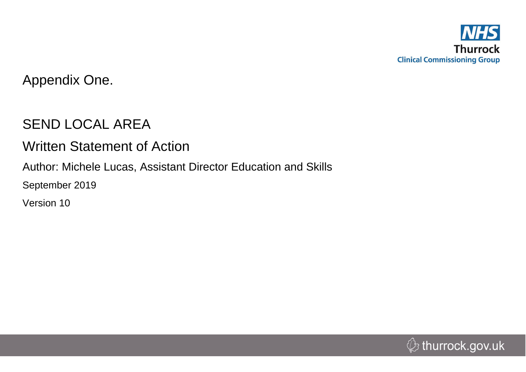

Appendix One.

# SEND LOCAL AREA

# Written Statement of Action

Author: Michele Lucas, Assistant Director Education and Skills

September 2019

Version 10

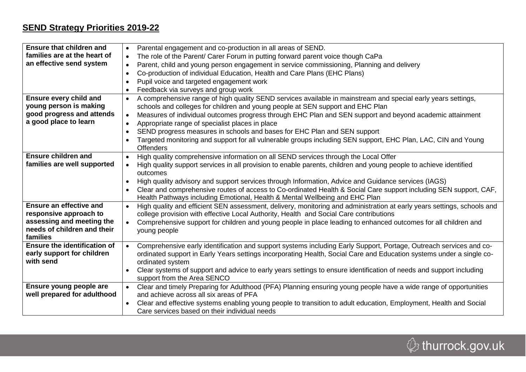## **SEND Strategy Priorities 2019-22**

| <b>Ensure that children and</b>         | Parental engagement and co-production in all areas of SEND.<br>$\bullet$                                                                 |
|-----------------------------------------|------------------------------------------------------------------------------------------------------------------------------------------|
| families are at the heart of            | The role of the Parent/ Carer Forum in putting forward parent voice though CaPa<br>$\bullet$                                             |
| an effective send system                | Parent, child and young person engagement in service commissioning, Planning and delivery<br>$\bullet$                                   |
|                                         | Co-production of individual Education, Health and Care Plans (EHC Plans)<br>$\bullet$                                                    |
|                                         | Pupil voice and targeted engagement work<br>$\bullet$                                                                                    |
|                                         | Feedback via surveys and group work<br>$\bullet$                                                                                         |
| <b>Ensure every child and</b>           | A comprehensive range of high quality SEND services available in mainstream and special early years settings,<br>$\bullet$               |
| young person is making                  | schools and colleges for children and young people at SEN support and EHC Plan                                                           |
| good progress and attends               | Measures of individual outcomes progress through EHC Plan and SEN support and beyond academic attainment<br>$\bullet$                    |
| a good place to learn                   | Appropriate range of specialist places in place<br>$\bullet$                                                                             |
|                                         | SEND progress measures in schools and bases for EHC Plan and SEN support<br>$\bullet$                                                    |
|                                         | Targeted monitoring and support for all vulnerable groups including SEN support, EHC Plan, LAC, CIN and Young<br>$\bullet$               |
|                                         | <b>Offenders</b>                                                                                                                         |
| <b>Ensure children and</b>              | High quality comprehensive information on all SEND services through the Local Offer<br>$\bullet$                                         |
| families are well supported             | High quality support services in all provision to enable parents, children and young people to achieve identified<br>$\bullet$           |
|                                         | outcomes                                                                                                                                 |
|                                         | High quality advisory and support services through Information, Advice and Guidance services (IAGS)<br>$\bullet$                         |
|                                         | Clear and comprehensive routes of access to Co-ordinated Health & Social Care support including SEN support, CAF,                        |
|                                         | Health Pathways including Emotional, Health & Mental Wellbeing and EHC Plan                                                              |
| <b>Ensure an effective and</b>          | High quality and efficient SEN assessment, delivery, monitoring and administration at early years settings, schools and<br>$\bullet$     |
| responsive approach to                  | college provision with effective Local Authority, Health and Social Care contributions                                                   |
| assessing and meeting the               | Comprehensive support for children and young people in place leading to enhanced outcomes for all children and<br>$\bullet$              |
| needs of children and their             | young people                                                                                                                             |
| families                                |                                                                                                                                          |
| <b>Ensure the identification of</b>     | Comprehensive early identification and support systems including Early Support, Portage, Outreach services and co-<br>$\bullet$          |
| early support for children<br>with send | ordinated support in Early Years settings incorporating Health, Social Care and Education systems under a single co-<br>ordinated system |
|                                         | Clear systems of support and advice to early years settings to ensure identification of needs and support including                      |
|                                         | support from the Area SENCO                                                                                                              |
| Ensure young people are                 | Clear and timely Preparing for Adulthood (PFA) Planning ensuring young people have a wide range of opportunities<br>$\bullet$            |
| well prepared for adulthood             | and achieve across all six areas of PFA                                                                                                  |
|                                         | Clear and effective systems enabling young people to transition to adult education, Employment, Health and Social                        |
|                                         | Care services based on their individual needs                                                                                            |
|                                         |                                                                                                                                          |

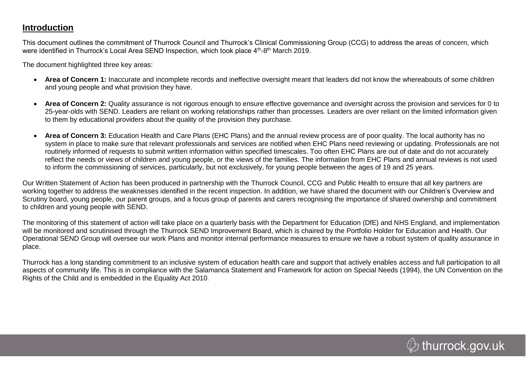## **Introduction**

This document outlines the commitment of Thurrock Council and Thurrock's Clinical Commissioning Group (CCG) to address the areas of concern, which were identified in Thurrock's Local Area SEND Inspection, which took place 4<sup>th</sup>-8<sup>th</sup> March 2019.

The document highlighted three key areas:

- **Area of Concern 1:** Inaccurate and incomplete records and ineffective oversight meant that leaders did not know the whereabouts of some children and young people and what provision they have.
- **Area of Concern 2:** Quality assurance is not rigorous enough to ensure effective governance and oversight across the provision and services for 0 to 25-year-olds with SEND. Leaders are reliant on working relationships rather than processes. Leaders are over reliant on the limited information given to them by educational providers about the quality of the provision they purchase.
- **Area of Concern 3:** Education Health and Care Plans (EHC Plans) and the annual review process are of poor quality. The local authority has no system in place to make sure that relevant professionals and services are notified when EHC Plans need reviewing or updating. Professionals are not routinely informed of requests to submit written information within specified timescales. Too often EHC Plans are out of date and do not accurately reflect the needs or views of children and young people, or the views of the families. The information from EHC Plans and annual reviews is not used to inform the commissioning of services, particularly, but not exclusively, for young people between the ages of 19 and 25 years.

Our Written Statement of Action has been produced in partnership with the Thurrock Council, CCG and Public Health to ensure that all key partners are working together to address the weaknesses identified in the recent inspection. In addition, we have shared the document with our Children's Overview and Scrutiny board, young people, our parent groups, and a focus group of parents and carers recognising the importance of shared ownership and commitment to children and young people with SEND.

The monitoring of this statement of action will take place on a quarterly basis with the Department for Education (DfE) and NHS England, and implementation will be monitored and scrutinised through the Thurrock SEND Improvement Board, which is chaired by the Portfolio Holder for Education and Health. Our Operational SEND Group will oversee our work Plans and monitor internal performance measures to ensure we have a robust system of quality assurance in place.

Thurrock has a long standing commitment to an inclusive system of education health care and support that actively enables access and full participation to all aspects of community life. This is in compliance with the Salamanca Statement and Framework for action on Special Needs (1994), the UN Convention on the Rights of the Child and is embedded in the Equality Act 2010.

 $\mathcal{Q}$  thurrock.gov.uk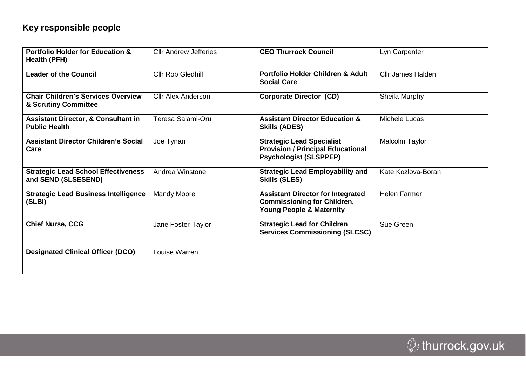# **Key responsible people**

| <b>Portfolio Holder for Education &amp;</b><br><b>Health (PFH)</b>     | <b>Cllr Andrew Jefferies</b> | <b>CEO Thurrock Council</b>                                                                                           | Lyn Carpenter            |
|------------------------------------------------------------------------|------------------------------|-----------------------------------------------------------------------------------------------------------------------|--------------------------|
| <b>Leader of the Council</b>                                           | Cllr Rob Gledhill            | <b>Portfolio Holder Children &amp; Adult</b><br><b>Social Care</b>                                                    | <b>Cllr James Halden</b> |
| <b>Chair Children's Services Overview</b><br>& Scrutiny Committee      | <b>Cllr Alex Anderson</b>    | <b>Corporate Director (CD)</b>                                                                                        | Sheila Murphy            |
| <b>Assistant Director, &amp; Consultant in</b><br><b>Public Health</b> | Teresa Salami-Oru            | <b>Assistant Director Education &amp;</b><br><b>Skills (ADES)</b>                                                     | Michele Lucas            |
| <b>Assistant Director Children's Social</b><br>Care                    | Joe Tynan                    | <b>Strategic Lead Specialist</b><br><b>Provision / Principal Educational</b><br><b>Psychologist (SLSPPEP)</b>         | Malcolm Taylor           |
| <b>Strategic Lead School Effectiveness</b><br>and SEND (SLSESEND)      | Andrea Winstone              | <b>Strategic Lead Employability and</b><br><b>Skills (SLES)</b>                                                       | Kate Kozlova-Boran       |
| <b>Strategic Lead Business Intelligence</b><br>(SLBI)                  | <b>Mandy Moore</b>           | <b>Assistant Director for Integrated</b><br><b>Commissioning for Children,</b><br><b>Young People &amp; Maternity</b> | <b>Helen Farmer</b>      |
| <b>Chief Nurse, CCG</b>                                                | Jane Foster-Taylor           | <b>Strategic Lead for Children</b><br><b>Services Commissioning (SLCSC)</b>                                           | Sue Green                |
| <b>Designated Clinical Officer (DCO)</b>                               | Louise Warren                |                                                                                                                       |                          |

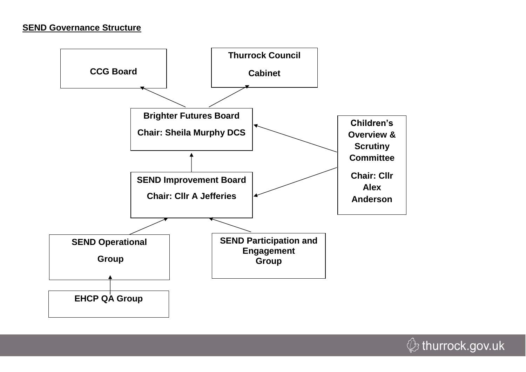

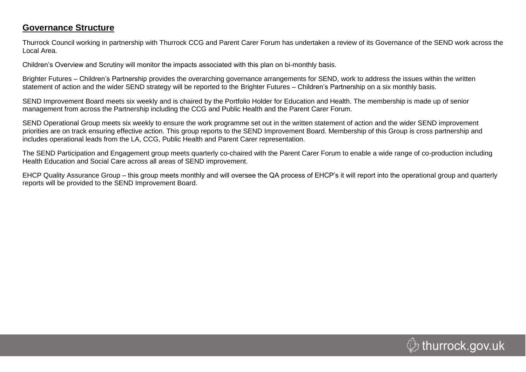## **Governance Structure**

Thurrock Council working in partnership with Thurrock CCG and Parent Carer Forum has undertaken a review of its Governance of the SEND work across the Local Area.

Children's Overview and Scrutiny will monitor the impacts associated with this plan on bi-monthly basis.

Brighter Futures – Children's Partnership provides the overarching governance arrangements for SEND, work to address the issues within the written statement of action and the wider SEND strategy will be reported to the Brighter Futures – Children's Partnership on a six monthly basis.

SEND Improvement Board meets six weekly and is chaired by the Portfolio Holder for Education and Health. The membership is made up of senior management from across the Partnership including the CCG and Public Health and the Parent Carer Forum.

SEND Operational Group meets six weekly to ensure the work programme set out in the written statement of action and the wider SEND improvement priorities are on track ensuring effective action. This group reports to the SEND Improvement Board. Membership of this Group is cross partnership and includes operational leads from the LA, CCG, Public Health and Parent Carer representation.

The SEND Participation and Engagement group meets quarterly co-chaired with the Parent Carer Forum to enable a wide range of co-production including Health Education and Social Care across all areas of SEND improvement.

EHCP Quality Assurance Group – this group meets monthly and will oversee the QA process of EHCP's it will report into the operational group and quarterly reports will be provided to the SEND Improvement Board.

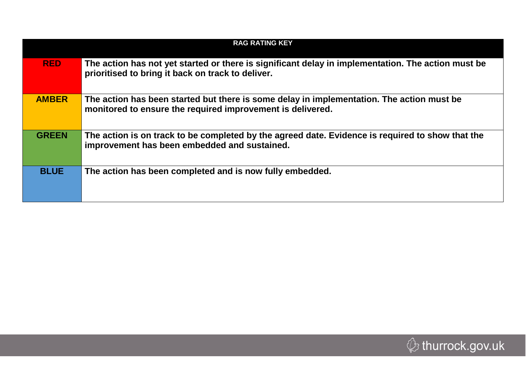|              | <b>RAG RATING KEY</b>                                                                                                                                   |  |  |  |  |  |  |
|--------------|---------------------------------------------------------------------------------------------------------------------------------------------------------|--|--|--|--|--|--|
| <b>RED</b>   | The action has not yet started or there is significant delay in implementation. The action must be<br>prioritised to bring it back on track to deliver. |  |  |  |  |  |  |
| <b>AMBER</b> | The action has been started but there is some delay in implementation. The action must be<br>monitored to ensure the required improvement is delivered. |  |  |  |  |  |  |
| <b>GREEN</b> | The action is on track to be completed by the agreed date. Evidence is required to show that the<br>improvement has been embedded and sustained.        |  |  |  |  |  |  |
| <b>BLUE</b>  | The action has been completed and is now fully embedded.                                                                                                |  |  |  |  |  |  |

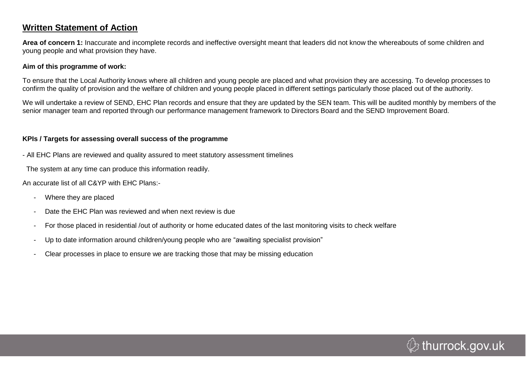## **Written Statement of Action**

**Area of concern 1:** Inaccurate and incomplete records and ineffective oversight meant that leaders did not know the whereabouts of some children and young people and what provision they have.

#### **Aim of this programme of work:**

To ensure that the Local Authority knows where all children and young people are placed and what provision they are accessing. To develop processes to confirm the quality of provision and the welfare of children and young people placed in different settings particularly those placed out of the authority.

We will undertake a review of SEND, EHC Plan records and ensure that they are updated by the SEN team. This will be audited monthly by members of the senior manager team and reported through our performance management framework to Directors Board and the SEND Improvement Board.

#### **KPIs / Targets for assessing overall success of the programme**

- All EHC Plans are reviewed and quality assured to meet statutory assessment timelines

The system at any time can produce this information readily.

An accurate list of all C&YP with EHC Plans:-

- Where they are placed
- Date the EHC Plan was reviewed and when next review is due
- For those placed in residential /out of authority or home educated dates of the last monitoring visits to check welfare
- Up to date information around children/young people who are "awaiting specialist provision"
- Clear processes in place to ensure we are tracking those that may be missing education

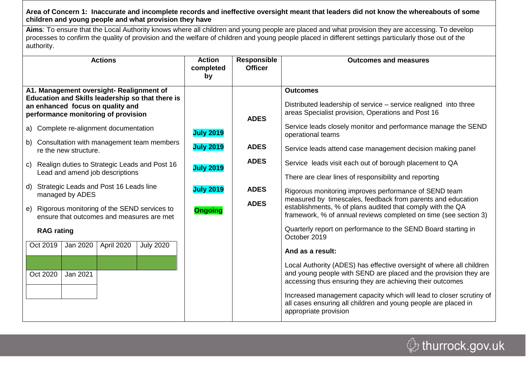#### **Area of Concern 1: Inaccurate and incomplete records and ineffective oversight meant that leaders did not know the whereabouts of some children and young people and what provision they have**

**Aims**: To ensure that the Local Authority knows where all children and young people are placed and what provision they are accessing. To develop processes to confirm the quality of provision and the welfare of children and young people placed in different settings particularly those out of the authority.

| <b>Actions</b>                                                                                                                                                          | <b>Action</b><br>completed<br>by | <b>Responsible</b><br><b>Officer</b> | <b>Outcomes and measures</b>                                                                                                                                                                          |
|-------------------------------------------------------------------------------------------------------------------------------------------------------------------------|----------------------------------|--------------------------------------|-------------------------------------------------------------------------------------------------------------------------------------------------------------------------------------------------------|
| A1. Management oversight- Realignment of<br>Education and Skills leadership so that there is<br>an enhanced focus on quality and<br>performance monitoring of provision |                                  |                                      | <b>Outcomes</b><br>Distributed leadership of service – service realigned into three<br>areas Specialist provision, Operations and Post 16                                                             |
| a) Complete re-alignment documentation                                                                                                                                  | <b>ADES</b><br><b>July 2019</b>  |                                      | Service leads closely monitor and performance manage the SEND<br>operational teams                                                                                                                    |
| b) Consultation with management team members<br>re the new structure.                                                                                                   | <b>July 2019</b>                 | <b>ADES</b>                          | Service leads attend case management decision making panel                                                                                                                                            |
| Realign duties to Strategic Leads and Post 16<br>C)                                                                                                                     | <b>July 2019</b>                 | <b>ADES</b>                          | Service leads visit each out of borough placement to QA                                                                                                                                               |
| Lead and amend job descriptions                                                                                                                                         |                                  |                                      | There are clear lines of responsibility and reporting                                                                                                                                                 |
| Strategic Leads and Post 16 Leads line<br>d)<br>managed by ADES                                                                                                         | <b>July 2019</b>                 | <b>ADES</b>                          | Rigorous monitoring improves performance of SEND team<br>measured by timescales, feedback from parents and education                                                                                  |
| e) Rigorous monitoring of the SEND services to<br>ensure that outcomes and measures are met                                                                             | <b>Ongoing</b>                   | <b>ADES</b>                          | establishments, % of plans audited that comply with the QA<br>framework, % of annual reviews completed on time (see section 3)                                                                        |
| <b>RAG</b> rating                                                                                                                                                       |                                  |                                      | Quarterly report on performance to the SEND Board starting in<br>October 2019                                                                                                                         |
| Oct 2019<br><b>July 2020</b><br>Jan 2020<br>April 2020                                                                                                                  |                                  |                                      | And as a result:                                                                                                                                                                                      |
| Jan 2021<br>Oct 2020                                                                                                                                                    |                                  |                                      | Local Authority (ADES) has effective oversight of where all children<br>and young people with SEND are placed and the provision they are<br>accessing thus ensuring they are achieving their outcomes |
|                                                                                                                                                                         |                                  |                                      | Increased management capacity which will lead to closer scrutiny of<br>all cases ensuring all children and young people are placed in<br>appropriate provision                                        |

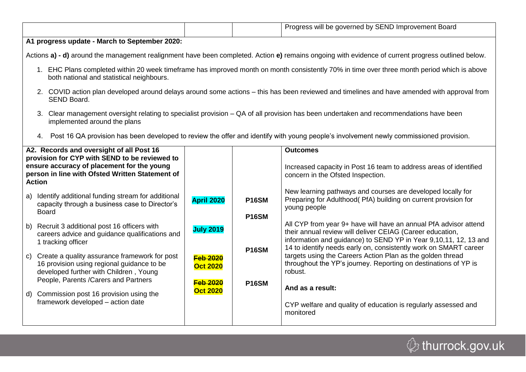|                                               |  | Progress will be governed by SEND Improvement Board |  |
|-----------------------------------------------|--|-----------------------------------------------------|--|
| A1 progress update - March to September 2020: |  |                                                     |  |

Actions **a) - d)** around the management realignment have been completed. Action **e)** remains ongoing with evidence of current progress outlined below.

- 1. EHC Plans completed within 20 week timeframe has improved month on month consistently 70% in time over three month period which is above both national and statistical neighbours.
- 2. COVID action plan developed around delays around some actions this has been reviewed and timelines and have amended with approval from SEND Board.
- 3. Clear management oversight relating to specialist provision QA of all provision has been undertaken and recommendations have been implemented around the plans
- 4. Post 16 QA provision has been developed to review the offer and identify with young people's involvement newly commissioned provision.

| A2. Records and oversight of all Post 16<br>provision for CYP with SEND to be reviewed to<br>ensure accuracy of placement for the young<br>person in line with Ofsted Written Statement of<br><b>Action</b> |                                                                                                                                                                                   |                                    |                              | <b>Outcomes</b><br>Increased capacity in Post 16 team to address areas of identified<br>concern in the Ofsted Inspection.                                                                                                                                             |
|-------------------------------------------------------------------------------------------------------------------------------------------------------------------------------------------------------------|-----------------------------------------------------------------------------------------------------------------------------------------------------------------------------------|------------------------------------|------------------------------|-----------------------------------------------------------------------------------------------------------------------------------------------------------------------------------------------------------------------------------------------------------------------|
| a)                                                                                                                                                                                                          | Identify additional funding stream for additional<br>capacity through a business case to Director's<br>Board                                                                      | <b>April 2020</b>                  | <b>P16SM</b><br><b>P16SM</b> | New learning pathways and courses are developed locally for<br>Preparing for Adulthood (PfA) building on current provision for<br>young people                                                                                                                        |
|                                                                                                                                                                                                             | b) Recruit 3 additional post 16 officers with<br>careers advice and guidance qualifications and<br>1 tracking officer                                                             | <b>July 2019</b>                   | <b>P16SM</b>                 | All CYP from year 9+ have will have an annual PfA advisor attend<br>their annual review will deliver CEIAG (Career education,<br>information and guidance) to SEND YP in Year 9,10,11, 12, 13 and<br>14 to identify needs early on, consistently work on SMART career |
|                                                                                                                                                                                                             | c) Create a quality assurance framework for post<br>16 provision using regional guidance to be<br>developed further with Children, Young<br>People, Parents / Carers and Partners | <b>Feb 2020</b><br><b>Oct 2020</b> |                              | targets using the Careers Action Plan as the golden thread<br>throughout the YP's journey. Reporting on destinations of YP is<br>robust.                                                                                                                              |
|                                                                                                                                                                                                             | d) Commission post 16 provision using the                                                                                                                                         | <b>Feb 2020</b><br><b>Oct 2020</b> | P <sub>16</sub> SM           | And as a result:                                                                                                                                                                                                                                                      |
|                                                                                                                                                                                                             | framework developed - action date                                                                                                                                                 |                                    |                              | CYP welfare and quality of education is regularly assessed and<br>monitored                                                                                                                                                                                           |

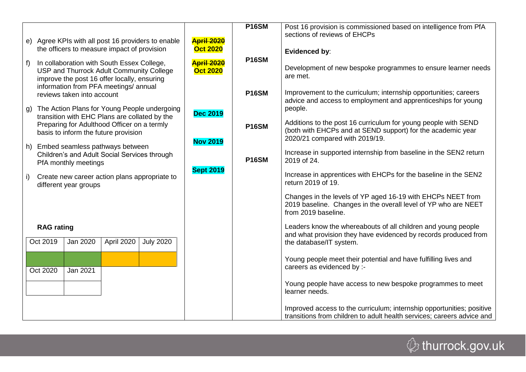|                                                                              |                                                                                                                                                                                                                                                    |                  |                                      | <b>P16SM</b> | Post 16 provision is commissioned based on intelligence from PfA                                                                                                |
|------------------------------------------------------------------------------|----------------------------------------------------------------------------------------------------------------------------------------------------------------------------------------------------------------------------------------------------|------------------|--------------------------------------|--------------|-----------------------------------------------------------------------------------------------------------------------------------------------------------------|
|                                                                              | e) Agree KPIs with all post 16 providers to enable                                                                                                                                                                                                 |                  | <b>April 2020</b>                    |              | sections of reviews of EHCPs                                                                                                                                    |
|                                                                              | the officers to measure impact of provision                                                                                                                                                                                                        |                  | <b>Oct 2020</b>                      |              | <b>Evidenced by:</b>                                                                                                                                            |
| $f$ )                                                                        | In collaboration with South Essex College,<br>USP and Thurrock Adult Community College<br>improve the post 16 offer locally, ensuring<br>information from PFA meetings/ annual                                                                     |                  | <b>April 2020</b><br><b>Oct 2020</b> | <b>P16SM</b> | Development of new bespoke programmes to ensure learner needs<br>are met.                                                                                       |
|                                                                              | reviews taken into account                                                                                                                                                                                                                         |                  |                                      | <b>P16SM</b> | Improvement to the curriculum; internship opportunities; careers                                                                                                |
|                                                                              | g) The Action Plans for Young People undergoing                                                                                                                                                                                                    |                  | <b>Dec 2019</b>                      |              | advice and access to employment and apprenticeships for young<br>people.                                                                                        |
|                                                                              | transition with EHC Plans are collated by the<br>Preparing for Adulthood Officer on a termly<br>basis to inform the future provision<br>h) Embed seamless pathways between<br>Children's and Adult Social Services through<br>PfA monthly meetings |                  |                                      | <b>P16SM</b> | Additions to the post 16 curriculum for young people with SEND<br>(both with EHCPs and at SEND support) for the academic year<br>2020/21 compared with 2019/19. |
|                                                                              |                                                                                                                                                                                                                                                    |                  | <b>Nov 2019</b>                      | <b>P16SM</b> | Increase in supported internship from baseline in the SEN2 return<br>2019 of 24.                                                                                |
| Create new career action plans appropriate to<br>i)<br>different year groups |                                                                                                                                                                                                                                                    |                  | <b>Sept 2019</b>                     |              | Increase in apprentices with EHCPs for the baseline in the SEN2<br>return 2019 of 19.                                                                           |
|                                                                              |                                                                                                                                                                                                                                                    |                  |                                      |              | Changes in the levels of YP aged 16-19 with EHCPs NEET from<br>2019 baseline. Changes in the overall level of YP who are NEET<br>from 2019 baseline.            |
| <b>RAG</b> rating                                                            |                                                                                                                                                                                                                                                    |                  |                                      |              | Leaders know the whereabouts of all children and young people                                                                                                   |
| Oct 2019                                                                     | Jan 2020<br>April 2020                                                                                                                                                                                                                             | <b>July 2020</b> |                                      |              | and what provision they have evidenced by records produced from<br>the database/IT system.                                                                      |
|                                                                              |                                                                                                                                                                                                                                                    |                  |                                      |              | Young people meet their potential and have fulfilling lives and                                                                                                 |
| Oct 2020                                                                     | Jan 2021                                                                                                                                                                                                                                           |                  |                                      |              | careers as evidenced by :-                                                                                                                                      |
|                                                                              |                                                                                                                                                                                                                                                    |                  |                                      |              | Young people have access to new bespoke programmes to meet<br>learner needs.                                                                                    |
|                                                                              |                                                                                                                                                                                                                                                    |                  |                                      |              | Improved access to the curriculum; internship opportunities; positive<br>transitions from children to adult health services; careers advice and                 |

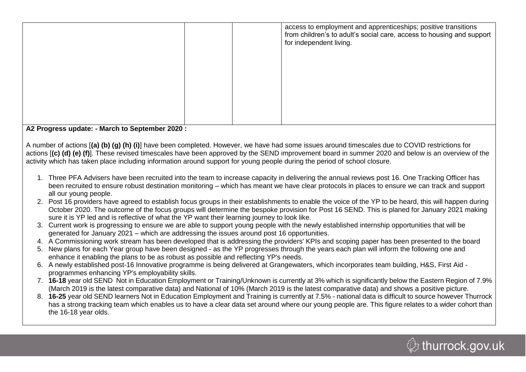|                                                  | access to employment and apprenticeships; positive transitions<br>from children's to adult's social care, access to housing and support<br>for independent living. |
|--------------------------------------------------|--------------------------------------------------------------------------------------------------------------------------------------------------------------------|
| A.2 Progress undate: - March to Sentember 2020 . |                                                                                                                                                                    |

**A2 Progress update: - March to September 2020 :**

A number of actions [**(a) (b) (g) (h) (i)**] have been completed. However, we have had some issues around timescales due to COVID restrictions for actions [**(c) (d) (e) (f)**]. These revised timescales have been approved by the SEND improvement board in summer 2020 and below is an overview of the activity which has taken place including information around support for young people during the period of school closure.

- 1. Three PFA Advisers have been recruited into the team to increase capacity in delivering the annual reviews post 16. One Tracking Officer has been recruited to ensure robust destination monitoring – which has meant we have clear protocols in places to ensure we can track and support all our young people.
- 2. Post 16 providers have agreed to establish focus groups in their establishments to enable the voice of the YP to be heard, this will happen during October 2020. The outcome of the focus groups will determine the bespoke provision for Post 16 SEND. This is planed for January 2021 making sure it is YP led and is reflective of what the YP want their learning journey to look like.
- 3. Current work is progressing to ensure we are able to support young people with the newly established internship opportunities that will be generated for January 2021 – which are addressing the issues around post 16 opportunities.
- 4. A Commissioning work stream has been developed that is addressing the providers' KPIs and scoping paper has been presented to the board
- 5. New plans for each Year group have been designed as the YP progresses through the years each plan will inform the following one and enhance it enabling the plans to be as robust as possible and reflecting YP's needs.
- 6. A newly established post-16 Innovative programme is being delivered at Grangewaters, which incorporates team building, H&S, First Aid programmes enhancing YP's employability skills.
- 7. **16-18** year old SEND Not in Education Employment or Training/Unknown is currently at 3% which is significantly below the Eastern Region of 7.9% (March 2019 is the latest comparative data) and National of 10% (March 2019 is the latest comparative data) and shows a positive picture.
- 8. **16-25** year old SEND learners Not in Education Employment and Training is currently at 7.5% national data is difficult to source however Thurrock has a strong tracking team which enables us to have a clear data set around where our young people are. This figure relates to a wider cohort than the 16-18 year olds.

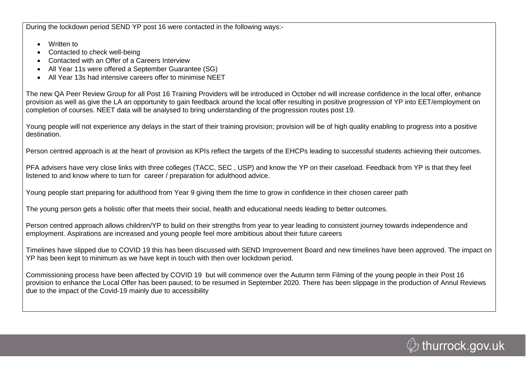During the lockdown period SEND YP post 16 were contacted in the following ways:-

- Written to
- Contacted to check well-being
- Contacted with an Offer of a Careers Interview
- All Year 11s were offered a September Guarantee (SG)
- All Year 13s had intensive careers offer to minimise NEET

The new QA Peer Review Group for all Post 16 Training Providers will be introduced in October nd will increase confidence in the local offer, enhance provision as well as give the LA an opportunity to gain feedback around the local offer resulting in positive progression of YP into EET/employment on completion of courses. NEET data will be analysed to bring understanding of the progression routes post 19.

Young people will not experience any delays in the start of their training provision; provision will be of high quality enabling to progress into a positive destination.

Person centred approach is at the heart of provision as KPIs reflect the targets of the EHCPs leading to successful students achieving their outcomes.

PFA advisers have very close links with three colleges (TACC, SEC , USP) and know the YP on their caseload. Feedback from YP is that they feel listened to and know where to turn for career / preparation for adulthood advice.

Young people start preparing for adulthood from Year 9 giving them the time to grow in confidence in their chosen career path

The young person gets a holistic offer that meets their social, health and educational needs leading to better outcomes.

Person centred approach allows children/YP to build on their strengths from year to year leading to consistent journey towards independence and employment. Aspirations are increased and young people feel more ambitious about their future careers

Timelines have slipped due to COVID 19 this has been discussed with SEND Improvement Board and new timelines have been approved. The impact on YP has been kept to minimum as we have kept in touch with then over lockdown period.

Commissioning process have been affected by COVID 19 but will commence over the Autumn term Filming of the young people in their Post 16 provision to enhance the Local Offer has been paused; to be resumed in September 2020. There has been slippage in the production of Annul Reviews due to the impact of the Covid-19 mainly due to accessibility

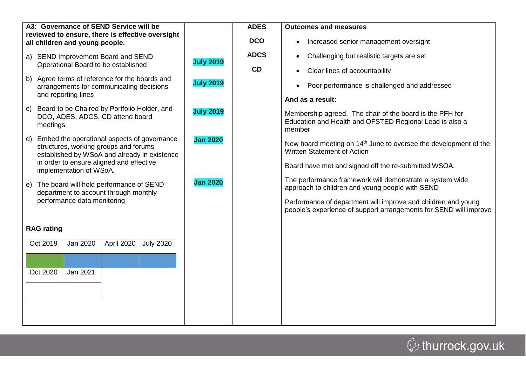| A3: Governance of SEND Service will be<br>reviewed to ensure, there is effective oversight                                              |                  | <b>ADES</b> | <b>Outcomes and measures</b>                                                                                                       |
|-----------------------------------------------------------------------------------------------------------------------------------------|------------------|-------------|------------------------------------------------------------------------------------------------------------------------------------|
| all children and young people.                                                                                                          |                  | <b>DCO</b>  | Increased senior management oversight<br>$\bullet$                                                                                 |
| a) SEND Improvement Board and SEND                                                                                                      | <b>July 2019</b> | <b>ADCS</b> | Challenging but realistic targets are set<br>$\bullet$                                                                             |
| Operational Board to be established                                                                                                     |                  | CD          | Clear lines of accountability<br>$\bullet$                                                                                         |
| b) Agree terms of reference for the boards and<br>arrangements for communicating decisions                                              | <b>July 2019</b> |             | Poor performance is challenged and addressed<br>$\bullet$                                                                          |
| and reporting lines                                                                                                                     |                  |             | And as a result:                                                                                                                   |
| Board to be Chaired by Portfolio Holder, and<br>$\mathsf{C}$<br>DCO, ADES, ADCS, CD attend board<br>meetings                            | <b>July 2019</b> |             | Membership agreed. The chair of the board is the PFH for<br>Education and Health and OFSTED Regional Lead is also a<br>member      |
| d) Embed the operational aspects of governance<br>structures, working groups and forums<br>established by WSoA and already in existence | <b>Jan 2020</b>  |             | New board meeting on 14 <sup>th</sup> June to oversee the development of the<br><b>Written Statement of Action</b>                 |
| in order to ensure aligned and effective<br>implementation of WSoA.                                                                     |                  |             | Board have met and signed off the re-submitted WSOA.                                                                               |
| e) The board will hold performance of SEND<br>department to account through monthly                                                     | <b>Jan 2020</b>  |             | The performance framework will demonstrate a system wide<br>approach to children and young people with SEND                        |
| performance data monitoring                                                                                                             |                  |             | Performance of department will improve and children and young<br>people's experience of support arrangements for SEND will improve |
| <b>RAG</b> rating                                                                                                                       |                  |             |                                                                                                                                    |
| Oct 2019<br>Jan 2020<br>April 2020<br><b>July 2020</b>                                                                                  |                  |             |                                                                                                                                    |
|                                                                                                                                         |                  |             |                                                                                                                                    |
| Oct 2020<br>Jan 2021                                                                                                                    |                  |             |                                                                                                                                    |
|                                                                                                                                         |                  |             |                                                                                                                                    |
|                                                                                                                                         |                  |             |                                                                                                                                    |
|                                                                                                                                         |                  |             |                                                                                                                                    |

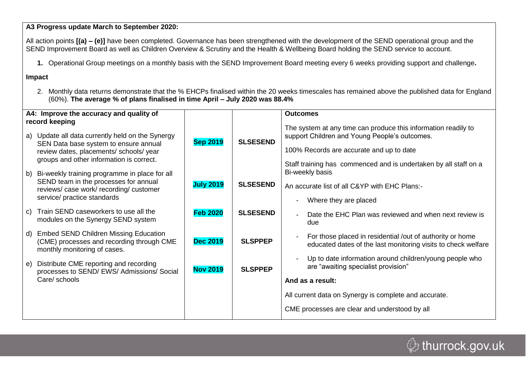**A3 Progress update March to September 2020:**

All action points **[(a) – (e)]** have been completed. Governance has been strengthened with the development of the SEND operational group and the SEND Improvement Board as well as Children Overview & Scrutiny and the Health & Wellbeing Board holding the SEND service to account.

**1.** Operational Group meetings on a monthly basis with the SEND Improvement Board meeting every 6 weeks providing support and challenge**.**

**Impact**

2. Monthly data returns demonstrate that the % EHCPs finalised within the 20 weeks timescales has remained above the published data for England (60%). **The average % of plans finalised in time April – July 2020 was 88.4%**

| A4: Improve the accuracy and quality of<br>record keeping |                                                                                                                                                                                  |                  |                 | <b>Outcomes</b>                                                                                                                                                                                                                 |
|-----------------------------------------------------------|----------------------------------------------------------------------------------------------------------------------------------------------------------------------------------|------------------|-----------------|---------------------------------------------------------------------------------------------------------------------------------------------------------------------------------------------------------------------------------|
|                                                           | a) Update all data currently held on the Synergy<br>SEN Data base system to ensure annual<br>review dates, placements/ schools/ year<br>groups and other information is correct. | <b>Sep 2019</b>  | <b>SLSESEND</b> | The system at any time can produce this information readily to<br>support Children and Young People's outcomes.<br>100% Records are accurate and up to date<br>Staff training has commenced and is undertaken by all staff on a |
|                                                           | b) Bi-weekly training programme in place for all<br>SEND team in the processes for annual<br>reviews/case work/recording/customer<br>service/ practice standards                 | <b>July 2019</b> | <b>SLSESEND</b> | Bi-weekly basis<br>An accurate list of all C&YP with EHC Plans:-<br>Where they are placed<br>$\overline{\phantom{a}}$                                                                                                           |
|                                                           | c) Train SEND caseworkers to use all the<br>modules on the Synergy SEND system                                                                                                   | <b>Feb 2020</b>  | <b>SLSESEND</b> | Date the EHC Plan was reviewed and when next review is<br>$\blacksquare$<br>due                                                                                                                                                 |
|                                                           | d) Embed SEND Children Missing Education<br>(CME) processes and recording through CME<br>monthly monitoring of cases.                                                            | <b>Dec 2019</b>  | <b>SLSPPEP</b>  | For those placed in residential /out of authority or home<br>$\blacksquare$<br>educated dates of the last monitoring visits to check welfare                                                                                    |
| e)                                                        | Distribute CME reporting and recording<br>processes to SEND/ EWS/ Admissions/ Social<br>Care/ schools                                                                            | <b>Nov 2019</b>  | <b>SLSPPEP</b>  | Up to date information around children/young people who<br>are "awaiting specialist provision"<br>And as a result:                                                                                                              |
|                                                           |                                                                                                                                                                                  |                  |                 | All current data on Synergy is complete and accurate.                                                                                                                                                                           |
|                                                           |                                                                                                                                                                                  |                  |                 | CME processes are clear and understood by all                                                                                                                                                                                   |

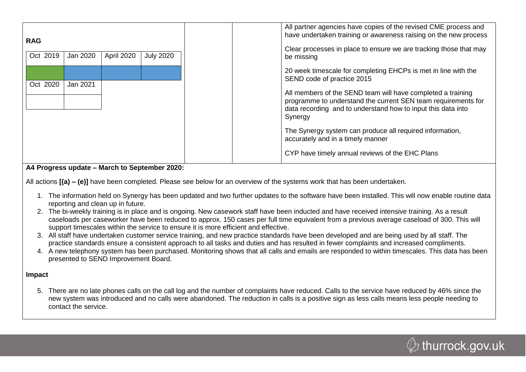| <b>RAG</b><br>Oct 2019<br>Jan 2020 | April 2020 | <b>July 2020</b> |
|------------------------------------|------------|------------------|
| Oct 2020<br>Jan 2021               |            |                  |

#### **A4 Progress update – March to September 2020:**

All actions **[(a) – (e)]** have been completed. Please see below for an overview of the systems work that has been undertaken.

- 1. The information held on Synergy has been updated and two further updates to the software have been installed. This will now enable routine data reporting and clean up in future.
- 2. The bi-weekly training is in place and is ongoing. New casework staff have been inducted and have received intensive training. As a result caseloads per caseworker have been reduced to approx. 150 cases per full time equivalent from a previous average caseload of 300. This will support timescales within the service to ensure it is more efficient and effective.
- 3. All staff have undertaken customer service training, and new practice standards have been developed and are being used by all staff. The practice standards ensure a consistent approach to all tasks and duties and has resulted in fewer complaints and increased compliments.
- 4. A new telephony system has been purchased. Monitoring shows that all calls and emails are responded to within timescales. This data has been presented to SEND Improvement Board.

#### **Impact**

5. There are no late phones calls on the call log and the number of complaints have reduced. Calls to the service have reduced by 46% since the new system was introduced and no calls were abandoned. The reduction in calls is a positive sign as less calls means less people needing to contact the service.

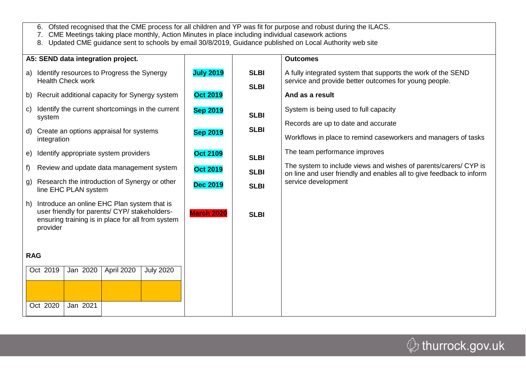| 6. Ofsted recognised that the CME process for all children and YP was fit for purpose and robust during the ILACS. |  |  |
|--------------------------------------------------------------------------------------------------------------------|--|--|
|                                                                                                                    |  |  |

7. CME Meetings taking place monthly, Action Minutes in place including individual casework actions

8. Updated CME guidance sent to schools by email 30/8/2019, Guidance published on Local Authority web site

| A5: SEND data integration project.                                                                                                                                                                                                                                                                      |                                                         |                                           | <b>Outcomes</b>                                                                                                                                                                 |
|---------------------------------------------------------------------------------------------------------------------------------------------------------------------------------------------------------------------------------------------------------------------------------------------------------|---------------------------------------------------------|-------------------------------------------|---------------------------------------------------------------------------------------------------------------------------------------------------------------------------------|
| Identify resources to Progress the Synergy<br>a)<br><b>Health Check work</b><br>Recruit additional capacity for Synergy system<br>b)                                                                                                                                                                    | <b>July 2019</b><br><b>Oct 2019</b>                     | <b>SLBI</b><br><b>SLBI</b>                | A fully integrated system that supports the work of the SEND<br>service and provide better outcomes for young people.<br>And as a result                                        |
| Identify the current shortcomings in the current<br>$\mathsf{C}$<br>system<br>Create an options appraisal for systems<br>d)<br>integration<br>Identify appropriate system providers<br>e)                                                                                                               | <b>Sep 2019</b><br><b>Sep 2019</b><br><b>Oct 2109</b>   | <b>SLBI</b><br><b>SLBI</b><br><b>SLBI</b> | System is being used to full capacity<br>Records are up to date and accurate<br>Workflows in place to remind caseworkers and managers of tasks<br>The team performance improves |
| Review and update data management system<br>$f$ )<br>Research the introduction of Synergy or other<br>g)<br>line EHC PLAN system<br>Introduce an online EHC Plan system that is<br>h)<br>user friendly for parents/ CYP/ stakeholders-<br>ensuring training is in place for all from system<br>provider | <b>Oct 2019</b><br><b>Dec 2019</b><br><b>March 2020</b> | <b>SLBI</b><br><b>SLBI</b><br><b>SLBI</b> | The system to include views and wishes of parents/carers/ CYP is<br>on line and user friendly and enables all to give feedback to inform<br>service development                 |
| <b>RAG</b><br>Oct 2019<br>Jan 2020<br>April 2020<br><b>July 2020</b><br>Jan 2021<br>Oct 2020                                                                                                                                                                                                            |                                                         |                                           |                                                                                                                                                                                 |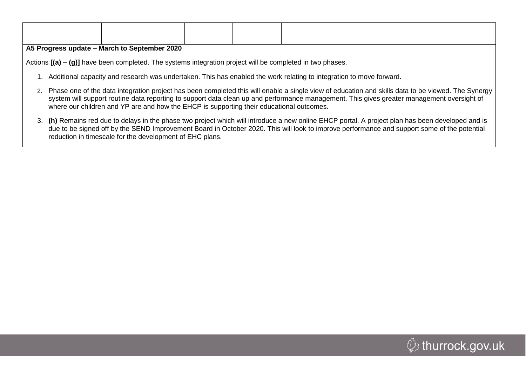| AE Drography undeta March to Captamber 2020 |  |  |
|---------------------------------------------|--|--|

**A5 Progress update – March to September 2020**

Actions **[(a) – (g)]** have been completed. The systems integration project will be completed in two phases.

- 1. Additional capacity and research was undertaken. This has enabled the work relating to integration to move forward.
- 2. Phase one of the data integration project has been completed this will enable a single view of education and skills data to be viewed. The Synergy system will support routine data reporting to support data clean up and performance management. This gives greater management oversight of where our children and YP are and how the EHCP is supporting their educational outcomes.
- 3. **(h)** Remains red due to delays in the phase two project which will introduce a new online EHCP portal. A project plan has been developed and is due to be signed off by the SEND Improvement Board in October 2020. This will look to improve performance and support some of the potential reduction in timescale for the development of EHC plans.

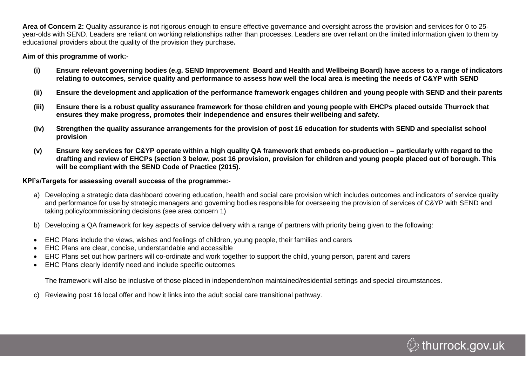**Area of Concern 2:** Quality assurance is not rigorous enough to ensure effective governance and oversight across the provision and services for 0 to 25 year-olds with SEND. Leaders are reliant on working relationships rather than processes. Leaders are over reliant on the limited information given to them by educational providers about the quality of the provision they purchase**.**

#### **Aim of this programme of work:-**

- **(i) Ensure relevant governing bodies (e.g. SEND Improvement Board and Health and Wellbeing Board) have access to a range of indicators relating to outcomes, service quality and performance to assess how well the local area is meeting the needs of C&YP with SEND**
- **(ii) Ensure the development and application of the performance framework engages children and young people with SEND and their parents**
- **(iii) Ensure there is a robust quality assurance framework for those children and young people with EHCPs placed outside Thurrock that ensures they make progress, promotes their independence and ensures their wellbeing and safety.**
- **(iv) Strengthen the quality assurance arrangements for the provision of post 16 education for students with SEND and specialist school provision**
- **(v) Ensure key services for C&YP operate within a high quality QA framework that embeds co-production – particularly with regard to the drafting and review of EHCPs (section 3 below, post 16 provision, provision for children and young people placed out of borough. This will be compliant with the SEND Code of Practice (2015).**

#### **KPI's/Targets for assessing overall success of the programme:-**

- a) Developing a strategic data dashboard covering education, health and social care provision which includes outcomes and indicators of service quality and performance for use by strategic managers and governing bodies responsible for overseeing the provision of services of C&YP with SEND and taking policy/commissioning decisions (see area concern 1)
- b) Developing a QA framework for key aspects of service delivery with a range of partners with priority being given to the following:
- EHC Plans include the views, wishes and feelings of children, young people, their families and carers
- EHC Plans are clear, concise, understandable and accessible
- EHC Plans set out how partners will co-ordinate and work together to support the child, young person, parent and carers
- EHC Plans clearly identify need and include specific outcomes

The framework will also be inclusive of those placed in independent/non maintained/residential settings and special circumstances.

c) Reviewing post 16 local offer and how it links into the adult social care transitional pathway.

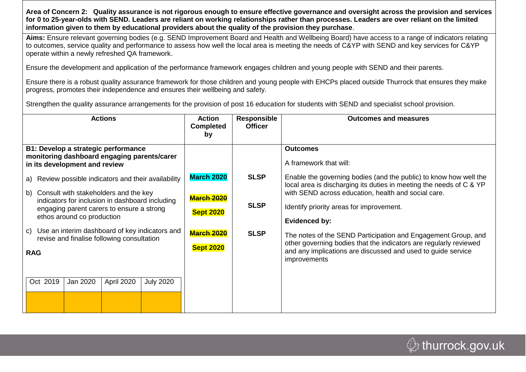**Area of Concern 2: Quality assurance is not rigorous enough to ensure effective governance and oversight across the provision and services for 0 to 25-year-olds with SEND. Leaders are reliant on working relationships rather than processes. Leaders are over reliant on the limited information given to them by educational providers about the quality of the provision they purchase**.

**Aims:** Ensure relevant governing bodies (e.g. SEND Improvement Board and Health and Wellbeing Board) have access to a range of indicators relating to outcomes, service quality and performance to assess how well the local area is meeting the needs of C&YP with SEND and key services for C&YP operate within a newly refreshed QA framework.

Ensure the development and application of the performance framework engages children and young people with SEND and their parents.

Ensure there is a robust quality assurance framework for those children and young people with EHCPs placed outside Thurrock that ensures they make progress, promotes their independence and ensures their wellbeing and safety.

Strengthen the quality assurance arrangements for the provision of post 16 education for students with SEND and specialist school provision.

| <b>Actions</b>                                                                                                                                                                                                                                                                               | <b>Action</b><br><b>Completed</b><br>by                                         | <b>Responsible</b><br><b>Officer</b>      | <b>Outcomes and measures</b>                                                                                                                                                                                                                                 |
|----------------------------------------------------------------------------------------------------------------------------------------------------------------------------------------------------------------------------------------------------------------------------------------------|---------------------------------------------------------------------------------|-------------------------------------------|--------------------------------------------------------------------------------------------------------------------------------------------------------------------------------------------------------------------------------------------------------------|
| B1: Develop a strategic performance<br>monitoring dashboard engaging parents/carer<br>in its development and review                                                                                                                                                                          |                                                                                 |                                           | <b>Outcomes</b><br>A framework that will:                                                                                                                                                                                                                    |
| Review possible indicators and their availability<br>a)<br>Consult with stakeholders and the key<br>b)<br>indicators for inclusion in dashboard including<br>engaging parent carers to ensure a strong<br>ethos around co production<br>Use an interim dashboard of key indicators and<br>C) | <b>March 2020</b><br><b>March 2020</b><br><b>Sept 2020</b><br><b>March 2020</b> | <b>SLSP</b><br><b>SLSP</b><br><b>SLSP</b> | Enable the governing bodies (and the public) to know how well the<br>local area is discharging its duties in meeting the needs of C & YP<br>with SEND across education, health and social care.<br>Identify priority areas for improvement.<br>Evidenced by: |
| revise and finalise following consultation<br><b>RAG</b><br>Oct 2019<br>Jan 2020<br>April 2020<br><b>July 2020</b>                                                                                                                                                                           | <b>Sept 2020</b>                                                                |                                           | The notes of the SEND Participation and Engagement Group, and<br>other governing bodies that the indicators are regularly reviewed<br>and any implications are discussed and used to guide service<br>improvements                                           |

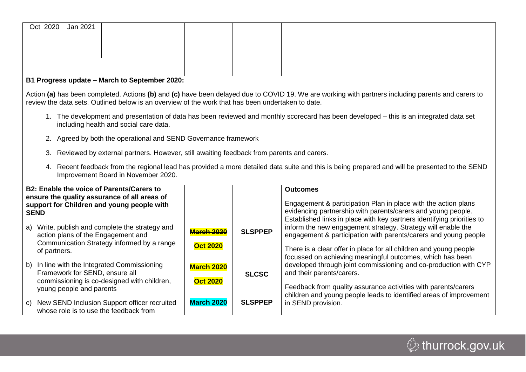| Oct 2020                                                                                                                                                                                 | Jan 2021                                                                                          |  |  |                                                                                                                                                    |
|------------------------------------------------------------------------------------------------------------------------------------------------------------------------------------------|---------------------------------------------------------------------------------------------------|--|--|----------------------------------------------------------------------------------------------------------------------------------------------------|
|                                                                                                                                                                                          |                                                                                                   |  |  |                                                                                                                                                    |
|                                                                                                                                                                                          |                                                                                                   |  |  |                                                                                                                                                    |
|                                                                                                                                                                                          |                                                                                                   |  |  |                                                                                                                                                    |
|                                                                                                                                                                                          |                                                                                                   |  |  |                                                                                                                                                    |
|                                                                                                                                                                                          | B1 Progress update - March to September 2020:                                                     |  |  |                                                                                                                                                    |
|                                                                                                                                                                                          | review the data sets. Outlined below is an overview of the work that has been undertaken to date. |  |  | Action (a) has been completed. Actions (b) and (c) have been delayed due to COVID 19. We are working with partners including parents and carers to |
|                                                                                                                                                                                          | including health and social care data.                                                            |  |  | The development and presentation of data has been reviewed and monthly scorecard has been developed – this is an integrated data set               |
|                                                                                                                                                                                          | 2. Agreed by both the operational and SEND Governance framework                                   |  |  |                                                                                                                                                    |
| 3.                                                                                                                                                                                       | Reviewed by external partners. However, still awaiting feedback from parents and carers.          |  |  |                                                                                                                                                    |
| Recent feedback from the regional lead has provided a more detailed data suite and this is being prepared and will be presented to the SEND<br>4.<br>Improvement Board in November 2020. |                                                                                                   |  |  |                                                                                                                                                    |
|                                                                                                                                                                                          | <b>B2: Enable the voice of Parents/Carers to</b>                                                  |  |  | <b>Outcomes</b>                                                                                                                                    |
| ensure the quality assurance of all areas of<br>support for Children and young people with                                                                                               |                                                                                                   |  |  | Engagement & participation Plan in place with the action plans                                                                                     |

|    | <b>SEND</b>                                                                            |                   |                | evidencing partnership with parents/carers and young people.<br>Established links in place with key partners identifying priorities to |
|----|----------------------------------------------------------------------------------------|-------------------|----------------|----------------------------------------------------------------------------------------------------------------------------------------|
| a) | Write, publish and complete the strategy and<br>action plans of the Engagement and     | <b>March 2020</b> | <b>SLSPPEP</b> | inform the new engagement strategy. Strategy will enable the<br>engagement & participation with parents/carers and young people        |
|    | Communication Strategy informed by a range<br>of partners.                             | <b>Oct 2020</b>   |                | There is a clear offer in place for all children and young people<br>focussed on achieving meaningful outcomes, which has been         |
|    | b) In line with the Integrated Commissioning<br>Framework for SEND, ensure all         | <b>March 2020</b> | <b>SLCSC</b>   | developed through joint commissioning and co-production with CYP<br>and their parents/carers.                                          |
|    | commissioning is co-designed with children,<br>young people and parents                | <b>Oct 2020</b>   |                | Feedback from quality assurance activities with parents/carers<br>children and young people leads to identified areas of improvement   |
| C) | New SEND Inclusion Support officer recruited<br>whose role is to use the feedback from | <b>March 2020</b> | <b>SLSPPEP</b> | in SEND provision.                                                                                                                     |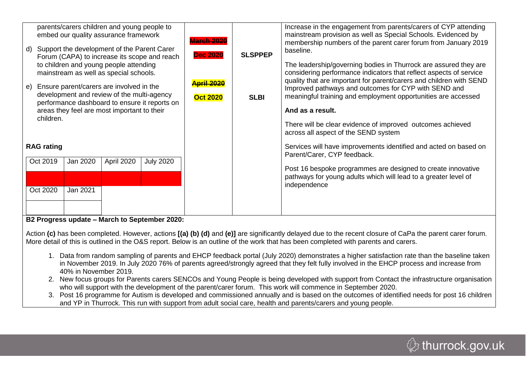| parents/carers children and young people to<br>embed our quality assurance framework<br>Support the development of the Parent Carer<br>d)<br>Forum (CAPA) to increase its scope and reach | <b>March 2020</b><br><b>Dec 2020</b> | <b>SLSPPEP</b> | Increase in the engagement from parents/carers of CYP attending<br>mainstream provision as well as Special Schools. Evidenced by<br>membership numbers of the parent carer forum from January 2019<br>baseline. |
|-------------------------------------------------------------------------------------------------------------------------------------------------------------------------------------------|--------------------------------------|----------------|-----------------------------------------------------------------------------------------------------------------------------------------------------------------------------------------------------------------|
| to children and young people attending<br>mainstream as well as special schools.                                                                                                          |                                      |                | The leadership/governing bodies in Thurrock are assured they are<br>considering performance indicators that reflect aspects of service                                                                          |
| Ensure parent/carers are involved in the<br>e)<br>development and review of the multi-agency                                                                                              | <b>April 2020</b><br><b>Oct 2020</b> | <b>SLBI</b>    | quality that are important for parent/carers and children with SEND<br>Improved pathways and outcomes for CYP with SEND and<br>meaningful training and employment opportunities are accessed                    |
| performance dashboard to ensure it reports on<br>areas they feel are most important to their<br>children.                                                                                 |                                      |                | And as a result.                                                                                                                                                                                                |
|                                                                                                                                                                                           |                                      |                | There will be clear evidence of improved outcomes achieved<br>across all aspect of the SEND system                                                                                                              |
| <b>RAG rating</b>                                                                                                                                                                         |                                      |                | Services will have improvements identified and acted on based on<br>Parent/Carer, CYP feedback.                                                                                                                 |
| Oct 2019<br>Jan 2020<br>April 2020<br><b>July 2020</b>                                                                                                                                    |                                      |                | Post 16 bespoke programmes are designed to create innovative<br>pathways for young adults which will lead to a greater level of<br>independence                                                                 |
| Oct 2020<br>Jan 2021                                                                                                                                                                      |                                      |                |                                                                                                                                                                                                                 |
| B2 Progress update - March to September 2020:                                                                                                                                             |                                      |                |                                                                                                                                                                                                                 |

Action **(c)** has been completed. However, actions **[(a) (b) (d)** and **(e)]** are significantly delayed due to the recent closure of CaPa the parent carer forum. More detail of this is outlined in the O&S report. Below is an outline of the work that has been completed with parents and carers.

- 1. Data from random sampling of parents and EHCP feedback portal (July 2020) demonstrates a higher satisfaction rate than the baseline taken in November 2019. In July 2020 76% of parents agreed/strongly agreed that they felt fully involved in the EHCP process and increase from 40% in November 2019.
- 2. New focus groups for Parents carers SENCOs and Young People is being developed with support from Contact the infrastructure organisation who will support with the development of the parent/carer forum. This work will commence in September 2020.
- 3. Post 16 programme for Autism is developed and commissioned annually and is based on the outcomes of identified needs for post 16 children and YP in Thurrock. This run with support from adult social care, health and parents/carers and young people.

 $\mathcal{Q}$  thurrock.gov.uk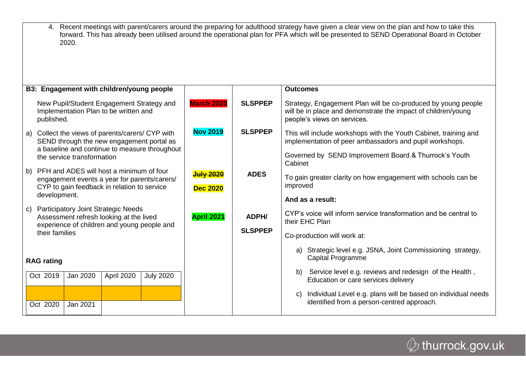4. Recent meetings with parent/carers around the preparing for adulthood strategy have given a clear view on the plan and how to take this forward. This has already been utilised around the operational plan for PFA which will be presented to SEND Operational Board in October 2020.

|              | B3: Engagement with children/young people                                                                                                  |                                     |                         | <b>Outcomes</b>                                                                                                                                               |
|--------------|--------------------------------------------------------------------------------------------------------------------------------------------|-------------------------------------|-------------------------|---------------------------------------------------------------------------------------------------------------------------------------------------------------|
|              | New Pupil/Student Engagement Strategy and<br>Implementation Plan to be written and<br>published.                                           | <b>March 2020</b>                   | <b>SLSPPEP</b>          | Strategy, Engagement Plan will be co-produced by young people<br>will be in place and demonstrate the impact of children/young<br>people's views on services. |
| a)           | Collect the views of parents/carers/ CYP with<br>SEND through the new engagement portal as                                                 | <b>Nov 2019</b>                     | <b>SLSPPEP</b>          | This will include workshops with the Youth Cabinet, training and<br>implementation of peer ambassadors and pupil workshops.                                   |
|              | a baseline and continue to measure throughout<br>the service transformation                                                                |                                     |                         | Governed by SEND Improvement Board & Thurrock's Youth<br>Cabinet                                                                                              |
|              | b) PFH and ADES will host a minimum of four<br>engagement events a year for parents/carers/<br>CYP to gain feedback in relation to service | <b>July 2020</b><br><b>Dec 2020</b> | <b>ADES</b>             | To gain greater clarity on how engagement with schools can be<br>improved                                                                                     |
|              | development.                                                                                                                               |                                     |                         | And as a result:                                                                                                                                              |
| $\mathsf{C}$ | <b>Participatory Joint Strategic Needs</b><br>Assessment refresh looking at the lived<br>experience of children and young people and       | <b>April 2021</b>                   | ADPH/<br><b>SLSPPEP</b> | CYP's voice will inform service transformation and be central to<br>their EHC Plan                                                                            |
|              | their families                                                                                                                             |                                     |                         | Co-production will work at:                                                                                                                                   |
|              | <b>RAG</b> rating                                                                                                                          |                                     |                         | a) Strategic level e.g. JSNA, Joint Commissioning strategy,<br>Capital Programme                                                                              |
|              | Oct 2019<br>April 2020<br>Jan 2020<br><b>July 2020</b>                                                                                     |                                     |                         | Service level e.g. reviews and redesign of the Health,<br>b)<br>Education or care services delivery                                                           |
|              | Jan 2021<br>Oct 2020                                                                                                                       |                                     |                         | Individual Level e.g. plans will be based on individual needs<br>C)<br>identified from a person-centred approach.                                             |

*ᠿ* thurrock.gov.uk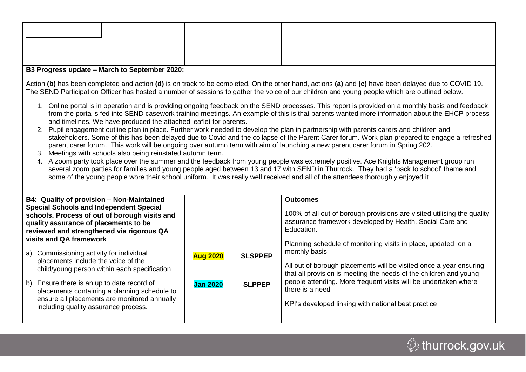#### **B3 Progress update – March to September 2020:**

Action **(b)** has been completed and action **(d)** is on track to be completed. On the other hand, actions **(a)** and **(c)** have been delayed due to COVID 19. The SEND Participation Officer has hosted a number of sessions to gather the voice of our children and young people which are outlined below.

- 1. Online portal is in operation and is providing ongoing feedback on the SEND processes. This report is provided on a monthly basis and feedback from the porta is fed into SEND casework training meetings. An example of this is that parents wanted more information about the EHCP process and timelines. We have produced the attached leaflet for parents.
- 2. Pupil engagement outline plan in place. Further work needed to develop the plan in partnership with parents carers and children and stakeholders. Some of this has been delayed due to Covid and the collapse of the Parent Carer forum. Work plan prepared to engage a refreshed parent carer forum. This work will be ongoing over autumn term with aim of launching a new parent carer forum in Spring 202.
- 3. Meetings with schools also being reinstated autumn term.
- 4. A zoom party took place over the summer and the feedback from young people was extremely positive. Ace Knights Management group run several zoom parties for families and young people aged between 13 and 17 with SEND in Thurrock. They had a 'back to school' theme and some of the young people wore their school uniform. It was really well received and all of the attendees thoroughly enjoyed it

| B4: Quality of provision - Non-Maintained<br><b>Special Schools and Independent Special</b><br>schools. Process of out of borough visits and<br>quality assurance of placements to be<br>reviewed and strengthened via rigorous QA<br>visits and QA framework |                                    |                                 | <b>Outcomes</b><br>100% of all out of borough provisions are visited utilising the quality<br>assurance framework developed by Health, Social Care and<br>Education.                                                                                                                                                                                                   |
|---------------------------------------------------------------------------------------------------------------------------------------------------------------------------------------------------------------------------------------------------------------|------------------------------------|---------------------------------|------------------------------------------------------------------------------------------------------------------------------------------------------------------------------------------------------------------------------------------------------------------------------------------------------------------------------------------------------------------------|
| a) Commissioning activity for individual<br>placements include the voice of the<br>child/young person within each specification                                                                                                                               | <b>Aug 2020</b><br><b>Jan 2020</b> | <b>SLSPPEP</b><br><b>SLPPEP</b> | Planning schedule of monitoring visits in place, updated on a<br>monthly basis<br>All out of borough placements will be visited once a year ensuring<br>that all provision is meeting the needs of the children and young<br>people attending. More frequent visits will be undertaken where<br>there is a need<br>KPI's developed linking with national best practice |
| b) Ensure there is an up to date record of<br>placements containing a planning schedule to<br>ensure all placements are monitored annually<br>including quality assurance process.                                                                            |                                    |                                 |                                                                                                                                                                                                                                                                                                                                                                        |

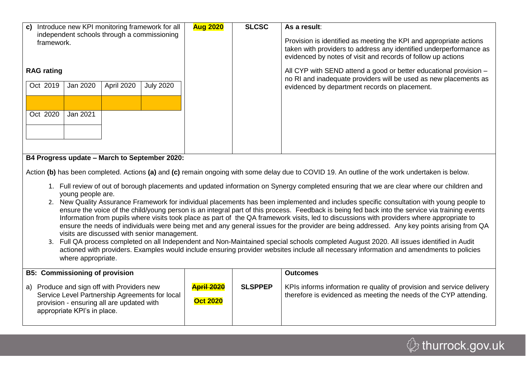| Introduce new KPI monitoring framework for all<br>$\mathbf{c}$<br>independent schools through a commissioning<br>framework.                                                                                                                                                                                                                                                                                                                                                                                                                                                                                                                                                                                                                                                                                                                                                                                                                                                                                                                                                                                                                                                                                                                                                                                                 | <b>Aug 2020</b>                      | <b>SLCSC</b>   | As a result:<br>Provision is identified as meeting the KPI and appropriate actions<br>taken with providers to address any identified underperformance as<br>evidenced by notes of visit and records of follow up actions |  |  |  |
|-----------------------------------------------------------------------------------------------------------------------------------------------------------------------------------------------------------------------------------------------------------------------------------------------------------------------------------------------------------------------------------------------------------------------------------------------------------------------------------------------------------------------------------------------------------------------------------------------------------------------------------------------------------------------------------------------------------------------------------------------------------------------------------------------------------------------------------------------------------------------------------------------------------------------------------------------------------------------------------------------------------------------------------------------------------------------------------------------------------------------------------------------------------------------------------------------------------------------------------------------------------------------------------------------------------------------------|--------------------------------------|----------------|--------------------------------------------------------------------------------------------------------------------------------------------------------------------------------------------------------------------------|--|--|--|
| <b>RAG</b> rating<br>Oct 2019<br>Jan 2020<br><b>April 2020</b><br><b>July 2020</b><br>Oct 2020<br>Jan 2021                                                                                                                                                                                                                                                                                                                                                                                                                                                                                                                                                                                                                                                                                                                                                                                                                                                                                                                                                                                                                                                                                                                                                                                                                  |                                      |                | All CYP with SEND attend a good or better educational provision -<br>no RI and inadequate providers will be used as new placements as<br>evidenced by department records on placement.                                   |  |  |  |
| B4 Progress update - March to September 2020:<br>Action (b) has been completed. Actions (a) and (c) remain ongoing with some delay due to COVID 19. An outline of the work undertaken is below.<br>1. Full review of out of borough placements and updated information on Synergy completed ensuring that we are clear where our children and<br>young people are.<br>2. New Quality Assurance Framework for individual placements has been implemented and includes specific consultation with young people to<br>ensure the voice of the child/young person is an integral part of this process. Feedback is being fed back into the service via training events<br>Information from pupils where visits took place as part of the QA framework visits, led to discussions with providers where appropriate to<br>ensure the needs of individuals were being met and any general issues for the provider are being addressed. Any key points arising from QA<br>visits are discussed with senior management.<br>3. Full QA process completed on all Independent and Non-Maintained special schools completed August 2020. All issues identified in Audit<br>actioned with providers. Examples would include ensuring provider websites include all necessary information and amendments to policies<br>where appropriate. |                                      |                |                                                                                                                                                                                                                          |  |  |  |
| <b>B5: Commissioning of provision</b><br>a) Produce and sign off with Providers new<br>Service Level Partnership Agreements for local<br>provision - ensuring all are updated with<br>appropriate KPI's in place.                                                                                                                                                                                                                                                                                                                                                                                                                                                                                                                                                                                                                                                                                                                                                                                                                                                                                                                                                                                                                                                                                                           | <b>April 2020</b><br><b>Oct 2020</b> | <b>SLSPPEP</b> | <b>Outcomes</b><br>KPIs informs information re quality of provision and service delivery<br>therefore is evidenced as meeting the needs of the CYP attending.                                                            |  |  |  |

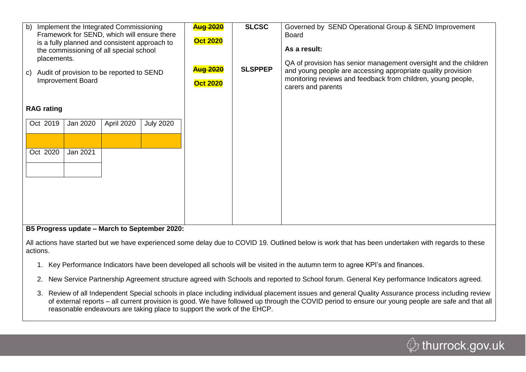| Implement the Integrated Commissioning<br>b)<br>Framework for SEND, which will ensure there<br>is a fully planned and consistent approach to<br>the commissioning of all special school<br>placements.<br>Audit of provision to be reported to SEND<br>C)<br><b>Improvement Board</b><br><b>RAG</b> rating | <b>Aug 2020</b><br><b>Oct 2020</b><br><b>Aug 2020</b><br><b>Oct 2020</b> | <b>SLCSC</b><br><b>SLSPPEP</b> | Governed by SEND Operational Group & SEND Improvement<br><b>Board</b><br>As a result:<br>QA of provision has senior management oversight and the children<br>and young people are accessing appropriate quality provision<br>monitoring reviews and feedback from children, young people,<br>carers and parents |
|------------------------------------------------------------------------------------------------------------------------------------------------------------------------------------------------------------------------------------------------------------------------------------------------------------|--------------------------------------------------------------------------|--------------------------------|-----------------------------------------------------------------------------------------------------------------------------------------------------------------------------------------------------------------------------------------------------------------------------------------------------------------|
| April 2020<br><b>July 2020</b><br>Oct 2019<br>Jan 2020                                                                                                                                                                                                                                                     |                                                                          |                                |                                                                                                                                                                                                                                                                                                                 |
| Jan 2021<br>Oct 2020                                                                                                                                                                                                                                                                                       |                                                                          |                                |                                                                                                                                                                                                                                                                                                                 |
|                                                                                                                                                                                                                                                                                                            |                                                                          |                                |                                                                                                                                                                                                                                                                                                                 |
| BE Dreamens undete March to Captember 2020.                                                                                                                                                                                                                                                                |                                                                          |                                |                                                                                                                                                                                                                                                                                                                 |

#### **B5 Progress update – March to September 2020:**

All actions have started but we have experienced some delay due to COVID 19. Outlined below is work that has been undertaken with regards to these actions.

- 1. Key Performance Indicators have been developed all schools will be visited in the autumn term to agree KPI's and finances.
- 2. New Service Partnership Agreement structure agreed with Schools and reported to School forum. General Key performance Indicators agreed.
- 3. Review of all Independent Special schools in place including individual placement issues and general Quality Assurance process including review of external reports – all current provision is good. We have followed up through the COVID period to ensure our young people are safe and that all reasonable endeavours are taking place to support the work of the EHCP.

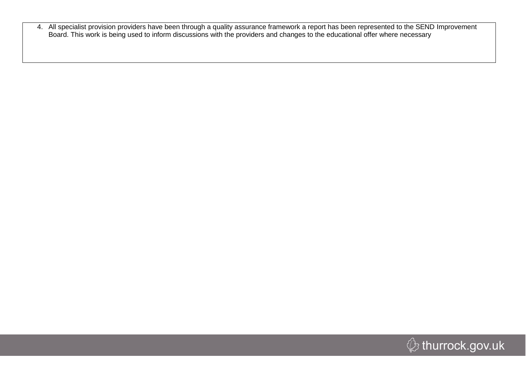4. All specialist provision providers have been through a quality assurance framework a report has been represented to the SEND Improvement Board. This work is being used to inform discussions with the providers and changes to the educational offer where necessary

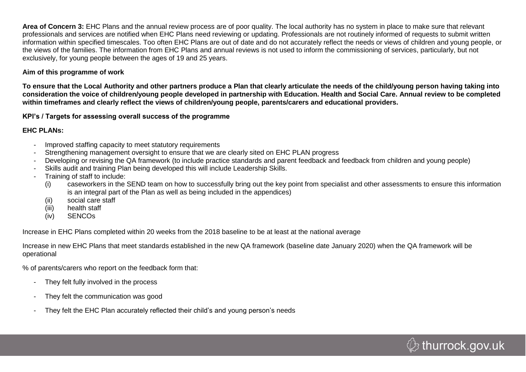**Area of Concern 3:** EHC Plans and the annual review process are of poor quality. The local authority has no system in place to make sure that relevant professionals and services are notified when EHC Plans need reviewing or updating. Professionals are not routinely informed of requests to submit written information within specified timescales. Too often EHC Plans are out of date and do not accurately reflect the needs or views of children and young people, or the views of the families. The information from EHC Plans and annual reviews is not used to inform the commissioning of services, particularly, but not exclusively, for young people between the ages of 19 and 25 years.

#### **Aim of this programme of work**

**To ensure that the Local Authority and other partners produce a Plan that clearly articulate the needs of the child/young person having taking into consideration the voice of children/young people developed in partnership with Education. Health and Social Care. Annual review to be completed within timeframes and clearly reflect the views of children/young people, parents/carers and educational providers.**

**KPI's / Targets for assessing overall success of the programme**

#### **EHC PLANs:**

- Improved staffing capacity to meet statutory requirements
- Strengthening management oversight to ensure that we are clearly sited on EHC PLAN progress
- Developing or revising the QA framework (to include practice standards and parent feedback and feedback from children and young people)
- Skills audit and training Plan being developed this will include Leadership Skills.
- Training of staff to include:
	- (i) caseworkers in the SEND team on how to successfully bring out the key point from specialist and other assessments to ensure this information is an integral part of the Plan as well as being included in the appendices)
	- (ii) social care staff
	- (iii) health staff
	- (iv) SENCOs

Increase in EHC Plans completed within 20 weeks from the 2018 baseline to be at least at the national average

Increase in new EHC Plans that meet standards established in the new QA framework (baseline date January 2020) when the QA framework will be operational

% of parents/carers who report on the feedback form that:

- They felt fully involved in the process
- They felt the communication was good
- They felt the EHC Plan accurately reflected their child's and young person's needs

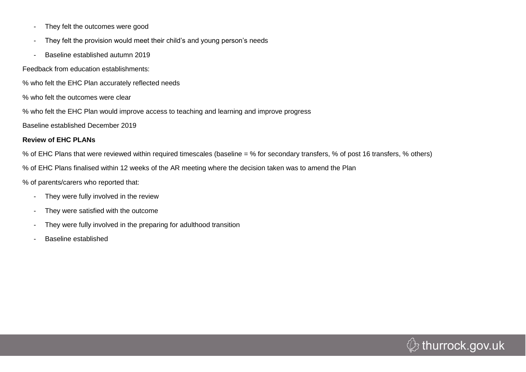- They felt the outcomes were good
- They felt the provision would meet their child's and young person's needs
- Baseline established autumn 2019

Feedback from education establishments:

% who felt the EHC Plan accurately reflected needs

% who felt the outcomes were clear

% who felt the EHC Plan would improve access to teaching and learning and improve progress

Baseline established December 2019

#### **Review of EHC PLANs**

% of EHC Plans that were reviewed within required timescales (baseline = % for secondary transfers, % of post 16 transfers, % others)

% of EHC Plans finalised within 12 weeks of the AR meeting where the decision taken was to amend the Plan

% of parents/carers who reported that:

- They were fully involved in the review
- They were satisfied with the outcome
- They were fully involved in the preparing for adulthood transition
- Baseline established

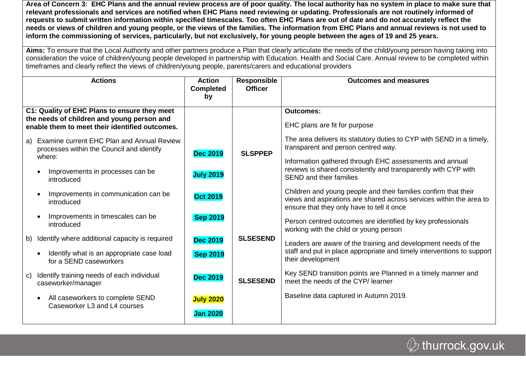**Area of Concern 3: EHC Plans and the annual review process are of poor quality. The local authority has no system in place to make sure that relevant professionals and services are notified when EHC Plans need reviewing or updating. Professionals are not routinely informed of requests to submit written information within specified timescales. Too often EHC Plans are out of date and do not accurately reflect the needs or views of children and young people, or the views of the families. The information from EHC Plans and annual reviews is not used to inform the commissioning of services, particularly, but not exclusively, for young people between the ages of 19 and 25 years.**

**Aims:** To ensure that the Local Authority and other partners produce a Plan that clearly articulate the needs of the child/young person having taking into consideration the voice of children/young people developed in partnership with Education. Health and Social Care. Annual review to be completed within timeframes and clearly reflect the views of children/young people, parents/carers and educational providers

| <b>Actions</b>                                                                                                                               | <b>Action</b><br><b>Completed</b><br>by | <b>Responsible</b><br><b>Officer</b> | <b>Outcomes and measures</b>                                                                                                                                                         |
|----------------------------------------------------------------------------------------------------------------------------------------------|-----------------------------------------|--------------------------------------|--------------------------------------------------------------------------------------------------------------------------------------------------------------------------------------|
| C1: Quality of EHC Plans to ensure they meet<br>the needs of children and young person and<br>enable them to meet their identified outcomes. |                                         |                                      | <b>Outcomes:</b><br>EHC plans are fit for purpose                                                                                                                                    |
| Examine current EHC Plan and Annual Review<br>a)<br>processes within the Council and identify<br>where:                                      | <b>Dec 2019</b>                         | <b>SLSPPEP</b>                       | The area delivers its statutory duties to CYP with SEND in a timely,<br>transparent and person centred way.<br>Information gathered through EHC assessments and annual               |
| Improvements in processes can be<br>$\bullet$<br>introduced                                                                                  | <b>July 2019</b>                        |                                      | reviews is shared consistently and transparently with CYP with<br><b>SEND and their families</b>                                                                                     |
| Improvements in communication can be<br>introduced                                                                                           | <b>Oct 2019</b>                         |                                      | Children and young people and their families confirm that their<br>views and aspirations are shared across services within the area to<br>ensure that they only have to tell it once |
| Improvements in timescales can be<br>introduced                                                                                              | <b>Sep 2019</b>                         |                                      | Person centred outcomes are identified by key professionals<br>working with the child or young person                                                                                |
| Identify where additional capacity is required<br>b)                                                                                         | <b>Dec 2019</b>                         | <b>SLSESEND</b>                      | Leaders are aware of the training and development needs of the                                                                                                                       |
| Identify what is an appropriate case load<br>for a SEND caseworkers                                                                          | <b>Sep 2019</b>                         |                                      | staff and put in place appropriate and timely interventions to support<br>their development                                                                                          |
| Identify training needs of each individual<br>$\mathbf{C}$<br>caseworker/manager                                                             | <b>Dec 2019</b>                         | <b>SLSESEND</b>                      | Key SEND transition points are Planned in a timely manner and<br>meet the needs of the CYP/ learner                                                                                  |
| All caseworkers to complete SEND<br>Caseworker L3 and L4 courses                                                                             | <b>July 2020</b><br><b>Jan 2020</b>     |                                      | Baseline data captured in Autumn 2019.                                                                                                                                               |

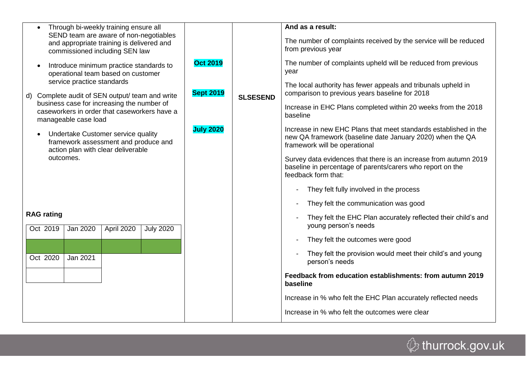| Through bi-weekly training ensure all<br>$\bullet$<br>SEND team are aware of non-negotiables<br>and appropriate training is delivered and<br>commissioned including SEN law |                                      |                 | And as a result:<br>The number of complaints received by the service will be reduced<br>from previous year                                                     |  |  |  |  |
|-----------------------------------------------------------------------------------------------------------------------------------------------------------------------------|--------------------------------------|-----------------|----------------------------------------------------------------------------------------------------------------------------------------------------------------|--|--|--|--|
| Introduce minimum practice standards to<br>$\bullet$<br>operational team based on customer<br>service practice standards                                                    | <b>Oct 2019</b>                      |                 | The number of complaints upheld will be reduced from previous<br>year                                                                                          |  |  |  |  |
| d) Complete audit of SEN output/ team and write                                                                                                                             | <b>Sept 2019</b><br><b>July 2020</b> | <b>SLSESEND</b> | The local authority has fewer appeals and tribunals upheld in<br>comparison to previous years baseline for 2018                                                |  |  |  |  |
| business case for increasing the number of<br>caseworkers in order that caseworkers have a<br>manageable case load                                                          |                                      |                 | Increase in EHC Plans completed within 20 weeks from the 2018<br>baseline                                                                                      |  |  |  |  |
| Undertake Customer service quality<br>$\bullet$<br>framework assessment and produce and<br>action plan with clear deliverable                                               |                                      |                 | Increase in new EHC Plans that meet standards established in the<br>new QA framework (baseline date January 2020) when the QA<br>framework will be operational |  |  |  |  |
| outcomes.                                                                                                                                                                   |                                      |                 | Survey data evidences that there is an increase from autumn 2019<br>baseline in percentage of parents/carers who report on the<br>feedback form that:          |  |  |  |  |
|                                                                                                                                                                             |                                      |                 | They felt fully involved in the process                                                                                                                        |  |  |  |  |
|                                                                                                                                                                             |                                      |                 | They felt the communication was good                                                                                                                           |  |  |  |  |
| <b>RAG rating</b><br>April 2020<br>Oct 2019<br>Jan 2020<br><b>July 2020</b>                                                                                                 |                                      |                 | They felt the EHC Plan accurately reflected their child's and<br>young person's needs                                                                          |  |  |  |  |
|                                                                                                                                                                             |                                      |                 | They felt the outcomes were good<br>$\qquad \qquad \blacksquare$                                                                                               |  |  |  |  |
| Oct 2020<br>Jan 2021                                                                                                                                                        |                                      |                 | They felt the provision would meet their child's and young<br>person's needs                                                                                   |  |  |  |  |
|                                                                                                                                                                             |                                      |                 | Feedback from education establishments: from autumn 2019<br>baseline                                                                                           |  |  |  |  |
|                                                                                                                                                                             |                                      |                 | Increase in % who felt the EHC Plan accurately reflected needs                                                                                                 |  |  |  |  |
|                                                                                                                                                                             |                                      |                 | Increase in % who felt the outcomes were clear                                                                                                                 |  |  |  |  |
|                                                                                                                                                                             |                                      |                 |                                                                                                                                                                |  |  |  |  |

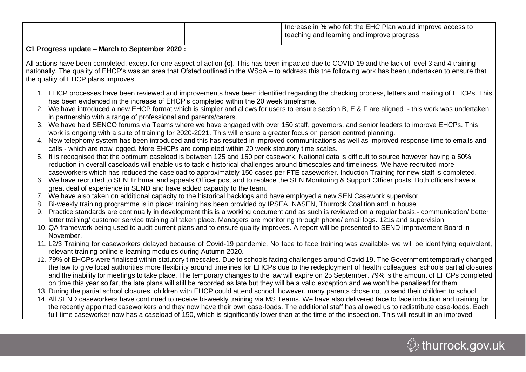|  | Increase in % who felt the EHC Plan would improve access to |
|--|-------------------------------------------------------------|
|  | teaching and learning and improve progress                  |
|  |                                                             |

#### **C1 Progress update – March to September 2020 :**

All actions have been completed, except for one aspect of action **(c)**. This has been impacted due to COVID 19 and the lack of level 3 and 4 training nationally. The quality of EHCP's was an area that Ofsted outlined in the WSoA – to address this the following work has been undertaken to ensure that the quality of EHCP plans improves.

- 1. EHCP processes have been reviewed and improvements have been identified regarding the checking process, letters and mailing of EHCPs. This has been evidenced in the increase of EHCP's completed within the 20 week timeframe.
- 2. We have introduced a new EHCP format which is simpler and allows for users to ensure section B, E & F are aligned this work was undertaken in partnership with a range of professional and parents/carers.
- 3. We have held SENCO forums via Teams where we have engaged with over 150 staff, governors, and senior leaders to improve EHCPs. This work is ongoing with a suite of training for 2020-2021. This will ensure a greater focus on person centred planning.
- 4. New telephony system has been introduced and this has resulted in improved communications as well as improved response time to emails and calls - which are now logged. More EHCPs are completed within 20 week statutory time scales.
- 5. It is recognised that the optimum caseload is between 125 and 150 per casework, National data is difficult to source however having a 50% reduction in overall caseloads will enable us to tackle historical challenges around timescales and timeliness. We have recruited more caseworkers which has reduced the caseload to approximately 150 cases per FTE caseworker. Induction Training for new staff is completed.
- 6. We have recruited to SEN Tribunal and appeals Officer post and to replace the SEN Monitoring & Support Officer posts. Both officers have a great deal of experience in SEND and have added capacity to the team.
- 7. We have also taken on additional capacity to the historical backlogs and have employed a new SEN Casework supervisor
- 8. Bi-weekly training programme is in place; training has been provided by IPSEA, NASEN, Thurrock Coalition and in house
- 9. Practice standards are continually in development this is a working document and as such is reviewed on a regular basis.- communication/ better letter training/ customer service training all taken place. Managers are monitoring through phone/ email logs. 121s and supervision.
- 10. QA framework being used to audit current plans and to ensure quality improves. A report will be presented to SEND Improvement Board in November.
- 11. L2/3 Training for caseworkers delayed because of Covid-19 pandemic. No face to face training was available- we will be identifying equivalent, relevant training online e-learning modules during Autumn 2020.
- 12. 79% of EHCPs were finalised within statutory timescales. Due to schools facing challenges around Covid 19. The Government temporarily changed the law to give local authorities more flexibility around timelines for EHCPs due to the redeployment of health colleagues, schools partial closures and the inability for meetings to take place. The temporary changes to the law will expire on 25 September. 79% is the amount of EHCPs completed on time this year so far, the late plans will still be recorded as late but they will be a valid exception and we won't be penalised for them.
- 13. During the partial school closures, children with EHCP could attend school. however, many parents chose not to send their children to school
- 14. All SEND caseworkers have continued to receive bi-weekly training via MS Teams. We have also delivered face to face induction and training for the recently appointed caseworkers and they now have their own case-loads. The additional staff has allowed us to redistribute case-loads. Each full-time caseworker now has a caseload of 150, which is significantly lower than at the time of the inspection. This will result in an improved

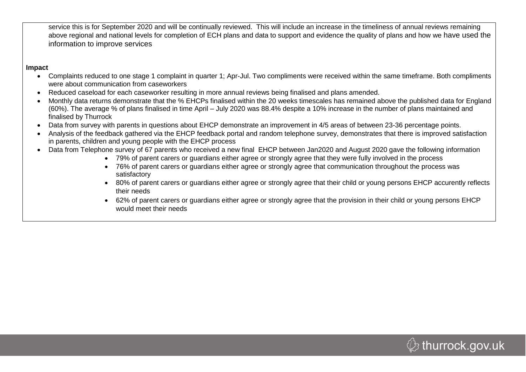service this is for September 2020 and will be continually reviewed. This will include an increase in the timeliness of annual reviews remaining above regional and national levels for completion of ECH plans and data to support and evidence the quality of plans and how we have used the information to improve services

#### **Impact**

- Complaints reduced to one stage 1 complaint in quarter 1; Apr-Jul. Two compliments were received within the same timeframe. Both compliments were about communication from caseworkers
- Reduced caseload for each caseworker resulting in more annual reviews being finalised and plans amended.
- Monthly data returns demonstrate that the % EHCPs finalised within the 20 weeks timescales has remained above the published data for England (60%). The average % of plans finalised in time April – July 2020 was 88.4% despite a 10% increase in the number of plans maintained and finalised by Thurrock
- Data from survey with parents in questions about EHCP demonstrate an improvement in 4/5 areas of between 23-36 percentage points.
- Analysis of the feedback gathered via the EHCP feedback portal and random telephone survey, demonstrates that there is improved satisfaction in parents, children and young people with the EHCP process
- Data from Telephone survey of 67 parents who received a new final EHCP between Jan2020 and August 2020 gave the following information
	- 79% of parent carers or guardians either agree or strongly agree that they were fully involved in the process
	- 76% of parent carers or guardians either agree or strongly agree that communication throughout the process was satisfactory
	- 80% of parent carers or guardians either agree or strongly agree that their child or young persons EHCP accurently reflects their needs
	- 62% of parent carers or guardians either agree or strongly agree that the provision in their child or young persons EHCP would meet their needs

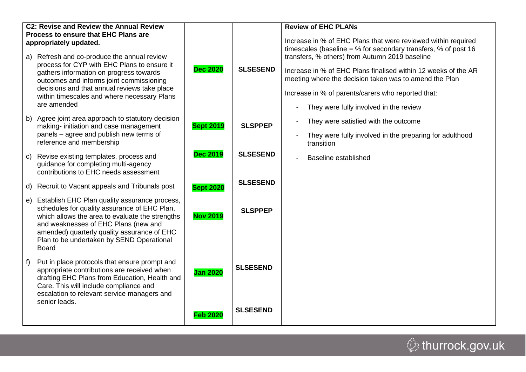| C2: Revise and Review the Annual Review<br><b>Process to ensure that EHC Plans are</b><br>appropriately updated. |                                                                                                                                                                                                                                                                                                         |                  |                 | <b>Review of EHC PLANs</b><br>Increase in % of EHC Plans that were reviewed within required<br>timescales (baseline = $%$ for secondary transfers, $%$ of post 16                                                                                                          |  |  |  |  |  |  |
|------------------------------------------------------------------------------------------------------------------|---------------------------------------------------------------------------------------------------------------------------------------------------------------------------------------------------------------------------------------------------------------------------------------------------------|------------------|-----------------|----------------------------------------------------------------------------------------------------------------------------------------------------------------------------------------------------------------------------------------------------------------------------|--|--|--|--|--|--|
|                                                                                                                  | a) Refresh and co-produce the annual review<br>process for CYP with EHC Plans to ensure it<br>gathers information on progress towards<br>outcomes and informs joint commissioning<br>decisions and that annual reviews take place<br>within timescales and where necessary Plans<br>are amended         | <b>Dec 2020</b>  | <b>SLSESEND</b> | transfers, % others) from Autumn 2019 baseline<br>Increase in % of EHC Plans finalised within 12 weeks of the AR<br>meeting where the decision taken was to amend the Plan<br>Increase in % of parents/carers who reported that:<br>They were fully involved in the review |  |  |  |  |  |  |
|                                                                                                                  | b) Agree joint area approach to statutory decision<br>making- initiation and case management<br>panels - agree and publish new terms of<br>reference and membership                                                                                                                                     | <b>Sept 2019</b> | <b>SLSPPEP</b>  | They were satisfied with the outcome<br>They were fully involved in the preparing for adulthood<br>transition                                                                                                                                                              |  |  |  |  |  |  |
| C).                                                                                                              | Revise existing templates, process and<br>guidance for completing multi-agency<br>contributions to EHC needs assessment                                                                                                                                                                                 | <b>Dec 2019</b>  | <b>SLSESEND</b> | Baseline established                                                                                                                                                                                                                                                       |  |  |  |  |  |  |
|                                                                                                                  | d) Recruit to Vacant appeals and Tribunals post                                                                                                                                                                                                                                                         | <b>Sept 2020</b> | <b>SLSESEND</b> |                                                                                                                                                                                                                                                                            |  |  |  |  |  |  |
|                                                                                                                  | e) Establish EHC Plan quality assurance process,<br>schedules for quality assurance of EHC Plan,<br>which allows the area to evaluate the strengths<br>and weaknesses of EHC Plans (new and<br>amended) quarterly quality assurance of EHC<br>Plan to be undertaken by SEND Operational<br><b>Board</b> | <b>Nov 2019</b>  | <b>SLSPPEP</b>  |                                                                                                                                                                                                                                                                            |  |  |  |  |  |  |
| f).                                                                                                              | Put in place protocols that ensure prompt and<br>appropriate contributions are received when<br>drafting EHC Plans from Education, Health and<br>Care. This will include compliance and<br>escalation to relevant service managers and<br>senior leads.                                                 | <b>Jan 2020</b>  | <b>SLSESEND</b> |                                                                                                                                                                                                                                                                            |  |  |  |  |  |  |
|                                                                                                                  |                                                                                                                                                                                                                                                                                                         | <b>Feb 2020</b>  | <b>SLSESEND</b> |                                                                                                                                                                                                                                                                            |  |  |  |  |  |  |
|                                                                                                                  |                                                                                                                                                                                                                                                                                                         |                  |                 |                                                                                                                                                                                                                                                                            |  |  |  |  |  |  |

 $\circledR$  thurrock.gov.uk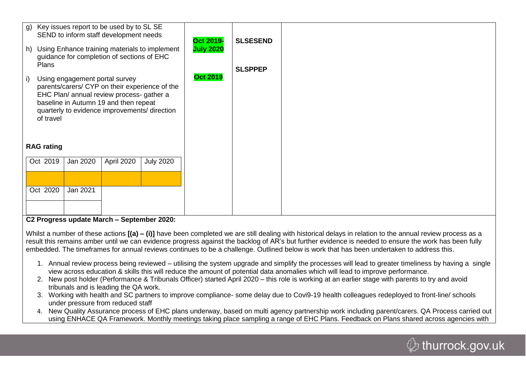| h)                                                                                       |                                                                                                                                                                                                                                  |          | g) Key issues report to be used by to SL SE<br>SEND to inform staff development needs<br>guidance for completion of sections of EHC | Using Enhance training materials to implement | Oct 2019-<br><b>July 2020</b> | <b>SLSESEND</b> |  |  |  |  |  |
|------------------------------------------------------------------------------------------|----------------------------------------------------------------------------------------------------------------------------------------------------------------------------------------------------------------------------------|----------|-------------------------------------------------------------------------------------------------------------------------------------|-----------------------------------------------|-------------------------------|-----------------|--|--|--|--|--|
| i)                                                                                       | Plans<br>Using engagement portal survey<br>parents/carers/ CYP on their experience of the<br>EHC Plan/ annual review process- gather a<br>baseline in Autumn 19 and then repeat<br>quarterly to evidence improvements/ direction |          |                                                                                                                                     | <b>Oct 2019</b>                               | <b>SLSPPEP</b>                |                 |  |  |  |  |  |
| of travel<br><b>RAG rating</b><br>Oct 2019<br>Jan 2020<br>April 2020<br><b>July 2020</b> |                                                                                                                                                                                                                                  |          |                                                                                                                                     |                                               |                               |                 |  |  |  |  |  |
|                                                                                          | Oct 2020                                                                                                                                                                                                                         | Jan 2021 |                                                                                                                                     |                                               |                               |                 |  |  |  |  |  |

**C2 Progress update March – September 2020:**

Whilst a number of these actions  $[(a) - (i)]$  have been completed we are still dealing with historical delays in relation to the annual review process as a result this remains amber until we can evidence progress against the backlog of AR's but further evidence is needed to ensure the work has been fully embedded. The timeframes for annual reviews continues to be a challenge. Outlined below is work that has been undertaken to address this.

- 1. Annual review process being reviewed utilising the system upgrade and simplify the processes will lead to greater timeliness by having a single view across education & skills this will reduce the amount of potential data anomalies which will lead to improve performance.
- 2. New post holder (Performance & Tribunals Officer) started April 2020 this role is working at an earlier stage with parents to try and avoid tribunals and is leading the QA work.
- 3. Working with health and SC partners to improve compliance- some delay due to Covi9-19 health colleagues redeployed to front-line/ schools under pressure from reduced staff
- 4. New Quality Assurance process of EHC plans underway, based on multi agency partnership work including parent/carers. QA Process carried out using ENHACE QA Framework. Monthly meetings taking place sampling a range of EHC Plans. Feedback on Plans shared across agencies with

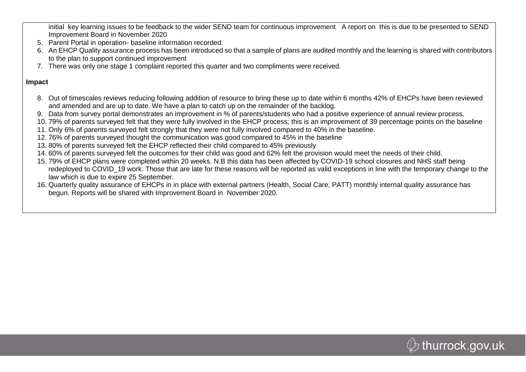initial key learning issues to be feedback to the wider SEND team for continuous improvement A report on this is due to be presented to SEND Improvement Board in November 2020

- 5. Parent Portal in operation- baseline information recorded.
- 6. An EHCP Quality assurance process has been introduced so that a sample of plans are audited monthly and the learning is shared with contributors to the plan to support continued improvement
- 7. There was only one stage 1 complaint reported this quarter and two compliments were received.

#### **Impact**

- 8. Out of timescales reviews reducing following addition of resource to bring these up to date within 6 months 42% of EHCPs have been reviewed and amended and are up to date. We have a plan to catch up on the remainder of the backlog.
- 9. Data from survey portal demonstrates an improvement in % of parents/students who had a positive experience of annual review process.
- 10. 79% of parents surveyed felt that they were fully involved in the EHCP process; this is an improvement of 39 percentage points on the baseline
- 11. Only 6% of parents surveyed felt strongly that they were not fully involved compared to 40% in the baseline.
- 12. 76% of parents surveyed thought the communication was good compared to 45% in the baseline
- 13. 80% of parents surveyed felt the EHCP reflected their child compared to 45% previously
- 14. 60% of parents surveyed felt the outcomes for their child was good and 62% felt the provision would meet the needs of their child.
- 15. 79% of EHCP plans were completed within 20 weeks. N.B this data has been affected by COVID-19 school closures and NHS staff being redeployed to COVID\_19 work. Those that are late for these reasons will be reported as valid exceptions in line with the temporary change to the law which is due to expire 25 September.
- 16. Quarterly quality assurance of EHCPs in in place with external partners (Health, Social Care, PATT) monthly internal quality assurance has begun. Reports will be shared with Improvement Board in November 2020.